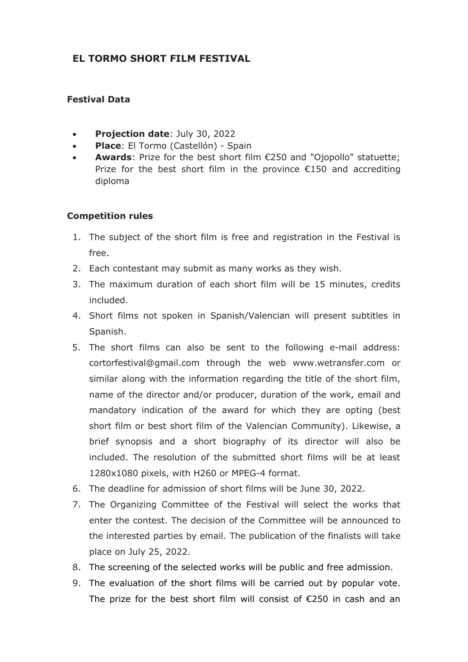# **EL TORMO SHORT FILM FESTIVAL**

## **Festival Data**

- **Projection date**: July 30, 2022
- **Place**: El Tormo (Castellón) Spain
- **Awards**: Prize for the best short film €250 and "Ojopollo" statuette; Prize for the best short film in the province  $\epsilon$ 150 and accrediting diploma

### **Competition rules**

- 1. The subject of the short film is free and registration in the Festival is free.
- 2. Each contestant may submit as many works as they wish.
- 3. The maximum duration of each short film will be 15 minutes, credits included.
- 4. Short films not spoken in Spanish/Valencian will present subtitles in Spanish.
- 5. The short films can also be sent to the following e-mail address: cortorfestival@gmail.com through the web www.wetransfer.com or similar along with the information regarding the title of the short film, name of the director and/or producer, duration of the work, email and mandatory indication of the award for which they are opting (best short film or best short film of the Valencian Community). Likewise, a brief synopsis and a short biography of its director will also be included. The resolution of the submitted short films will be at least 1280x1080 pixels, with H260 or MPEG-4 format.
- 6. The deadline for admission of short films will be June 30, 2022.
- 7. The Organizing Committee of the Festival will select the works that enter the contest. The decision of the Committee will be announced to the interested parties by email. The publication of the finalists will take place on July 25, 2022.
- 8. The screening of the selected works will be public and free admission.
- 9. The evaluation of the short films will be carried out by popular vote. The prize for the best short film will consist of €250 in cash and an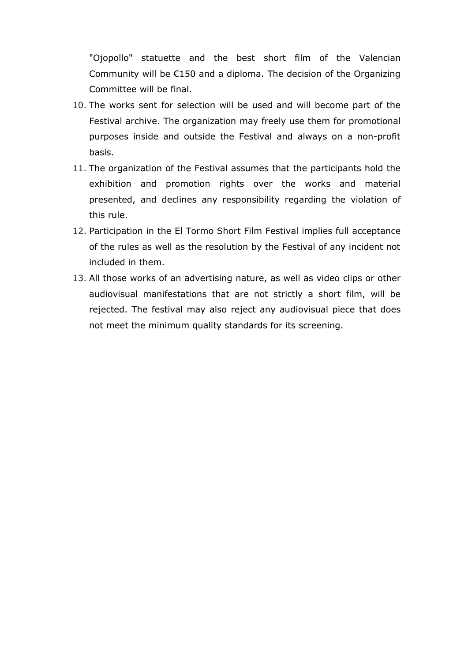"Ojopollo" statuette and the best short film of the Valencian Community will be €150 and a diploma. The decision of the Organizing Committee will be final.

- 10. The works sent for selection will be used and will become part of the Festival archive. The organization may freely use them for promotional purposes inside and outside the Festival and always on a non-profit basis.
- 11. The organization of the Festival assumes that the participants hold the exhibition and promotion rights over the works and material presented, and declines any responsibility regarding the violation of this rule.
- 12. Participation in the El Tormo Short Film Festival implies full acceptance of the rules as well as the resolution by the Festival of any incident not included in them.
- 13. All those works of an advertising nature, as well as video clips or other audiovisual manifestations that are not strictly a short film, will be rejected. The festival may also reject any audiovisual piece that does not meet the minimum quality standards for its screening.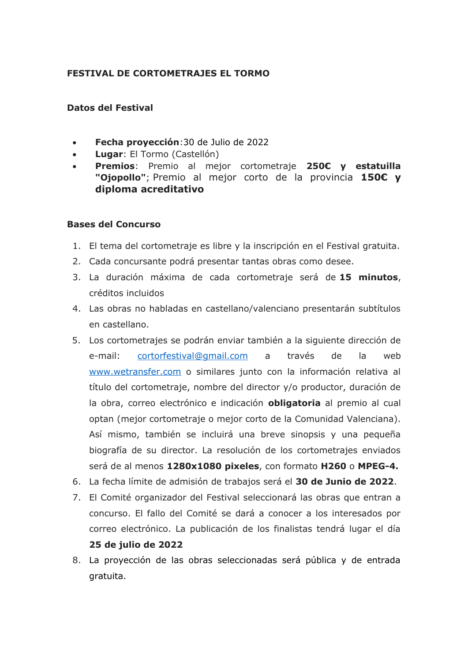## **FESTIVAL DE CORTOMETRAJES EL TORMO**

#### **Datos del Festival**

- **Fecha proyección**:30 de Julio de 2022
- **Lugar**: El Tormo (Castellón)
- **Premios**: Premio al mejor cortometraje **250€ y estatuilla "Ojopollo"**; Premio al mejor corto de la provincia **150€ y diploma acreditativo**

#### **Bases del Concurso**

- 1. El tema del cortometraje es libre y la inscripción en el Festival gratuita.
- 2. Cada concursante podrá presentar tantas obras como desee.
- 3. La duración máxima de cada cortometraje será de **15 minutos**, créditos incluidos
- 4. Las obras no habladas en castellano/valenciano presentarán subtítulos en castellano.
- 5. Los cortometrajes se podrán enviar también a la siguiente dirección de e-mail: [cortorfestival@gmail.com](mailto:cortorfestival@gmail.com) a través de la web [www.wetransfer.com](http://www.wetransfer.com/) o similares junto con la información relativa al título del cortometraje, nombre del director y/o productor, duración de la obra, correo electrónico e indicación **obligatoria** al premio al cual optan (mejor cortometraje o mejor corto de la Comunidad Valenciana). Así mismo, también se incluirá una breve sinopsis y una pequeña biografía de su director. La resolución de los cortometrajes enviados será de al menos **1280x1080 pixeles**, con formato **H260** o **MPEG-4.**
- 6. La fecha límite de admisión de trabajos será el **30 de Junio de 2022**.
- 7. El Comité organizador del Festival seleccionará las obras que entran a concurso. El fallo del Comité se dará a conocer a los interesados por correo electrónico. La publicación de los finalistas tendrá lugar el día **25 de julio de 2022**
- 8. La proyección de las obras seleccionadas será pública y de entrada gratuita.